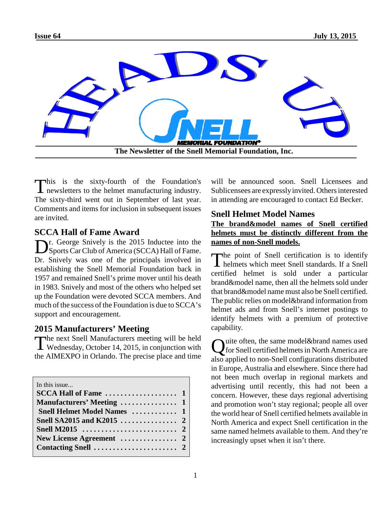

This is the sixty-fourth of the Foundation's<br>newsletters to the helmet manufacturing industry. his is the sixty-fourth of the Foundation's The sixty-third went out in September of last year. Comments and items for inclusion in subsequent issues are invited.

## **SCCA Hall of Fame Award**

Dr. George Snively is the 2015 Inductee into the Sports Car Club of America (SCCA) Hall of Fame. r. George Snively is the 2015 Inductee into the Dr. Snively was one of the principals involved in establishing the Snell Memorial Foundation back in 1957 and remained Snell's prime mover until his death in 1983. Snively and most of the others who helped set up the Foundation were devoted SCCA members. And much of the success of the Foundation is due to SCCA's support and encouragement.

## **2015 Manufacturers' Meeting**

The next Snell Manufacturers meeting will be held<br>Wednesday, October 14, 2015, in conjunction with The next Snell Manufacturers meeting will be held the AIMEXPO in Orlando. The precise place and time

In this issue.

| Snell Helmet Model Names  1 |  |
|-----------------------------|--|
|                             |  |
|                             |  |
|                             |  |
|                             |  |
|                             |  |

will be announced soon. Snell Licensees and Sublicensees are expressly invited. Others interested in attending are encouraged to contact Ed Becker.

## **Snell Helmet Model Names**

#### **The brand&model names of Snell certified helmets must be distinctly different from the names of non-Snell models.**

The point of Snell certification is to identify<br>helmets which meet Snell standards. If a Snell helmets which meet Snell standards. If a Snell certified helmet is sold under a particular brand&model name, then all the helmets sold under that brand&model name must also be Snell certified. The public relies on model&brand information from helmet ads and from Snell's internet postings to identify helmets with a premium of protective capability.

Quite often, the same model&brand names used<br>for Snell certified helmets in North America are for Snell certified helmets in North America are also applied to non-Snell configurations distributed in Europe, Australia and elsewhere. Since there had not been much overlap in regional markets and advertising until recently, this had not been a concern. However, these days regional advertising and promotion won't stay regional; people all over the world hear of Snell certified helmets available in North America and expect Snell certification in the same named helmets available to them. And they're increasingly upset when it isn't there.